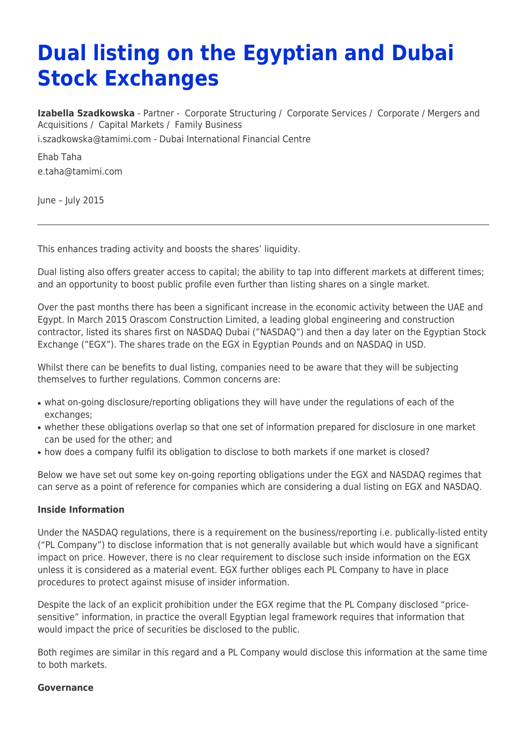# **Dual listing on the Egyptian and Dubai Stock Exchanges**

**[Izabella Szadkowska](https://www.tamimi.com/find-a-lawyer/izabella-szadkowska/)** - Partner - [Corporate Structuring](https://www.tamimi.com/client-services/practices/corporate-structuring/) / [Corporate Services](https://www.tamimi.com/client-services/practices/corporate-services/) / [Corporate / Mergers and](https://www.tamimi.com/client-services/practices/corporate-mergers-acquisitions/) [Acquisitions](https://www.tamimi.com/client-services/practices/corporate-mergers-acquisitions/) / [Capital Markets](https://www.tamimi.com/client-services/practices/capital-markets/) / [Family Business](https://www.tamimi.com/client-services/practices/family-business/) [i.szadkowska@tamimi.com](mailto:i.szadkowska@tamimi.com) - [Dubai International Financial Centre](https://www.tamimi.com/locations/uae/)

Ehab Taha [e.taha@tamimi.com](mailto:e.taha@tamimi.com)

June – July 2015

This enhances trading activity and boosts the shares' liquidity.

Dual listing also offers greater access to capital; the ability to tap into different markets at different times; and an opportunity to boost public profile even further than listing shares on a single market.

Over the past months there has been a significant increase in the economic activity between the UAE and Egypt. In March 2015 Orascom Construction Limited, a leading global engineering and construction contractor, listed its shares first on NASDAQ Dubai ("NASDAQ") and then a day later on the Egyptian Stock Exchange ("EGX"). The shares trade on the EGX in Egyptian Pounds and on NASDAQ in USD.

Whilst there can be benefits to dual listing, companies need to be aware that they will be subjecting themselves to further regulations. Common concerns are:

- what on-going disclosure/reporting obligations they will have under the regulations of each of the exchanges;
- whether these obligations overlap so that one set of information prepared for disclosure in one market can be used for the other; and
- how does a company fulfil its obligation to disclose to both markets if one market is closed?

Below we have set out some key on-going reporting obligations under the EGX and NASDAQ regimes that can serve as a point of reference for companies which are considering a dual listing on EGX and NASDAQ.

#### **Inside Information**

Under the NASDAQ regulations, there is a requirement on the business/reporting i.e. publically-listed entity ("PL Company") to disclose information that is not generally available but which would have a significant impact on price. However, there is no clear requirement to disclose such inside information on the EGX unless it is considered as a material event. EGX further obliges each PL Company to have in place procedures to protect against misuse of insider information.

Despite the lack of an explicit prohibition under the EGX regime that the PL Company disclosed "pricesensitive" information, in practice the overall Egyptian legal framework requires that information that would impact the price of securities be disclosed to the public.

Both regimes are similar in this regard and a PL Company would disclose this information at the same time to both markets.

#### **Governance**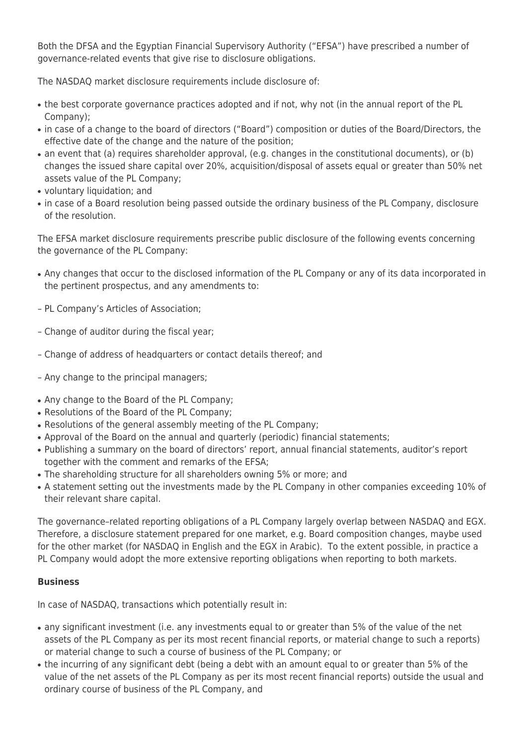Both the DFSA and the Egyptian Financial Supervisory Authority ("EFSA") have prescribed a number of governance-related events that give rise to disclosure obligations.

The NASDAQ market disclosure requirements include disclosure of:

- the best corporate governance practices adopted and if not, why not (in the annual report of the PL Company);
- in case of a change to the board of directors ("Board") composition or duties of the Board/Directors, the effective date of the change and the nature of the position;
- an event that (a) requires shareholder approval, (e.g. changes in the constitutional documents), or (b) changes the issued share capital over 20%, acquisition/disposal of assets equal or greater than 50% net assets value of the PL Company;
- voluntary liquidation; and
- in case of a Board resolution being passed outside the ordinary business of the PL Company, disclosure of the resolution.

The EFSA market disclosure requirements prescribe public disclosure of the following events concerning the governance of the PL Company:

- Any changes that occur to the disclosed information of the PL Company or any of its data incorporated in the pertinent prospectus, and any amendments to:
- PL Company's Articles of Association;
- Change of auditor during the fiscal year;
- Change of address of headquarters or contact details thereof; and
- Any change to the principal managers;
- Any change to the Board of the PL Company;
- Resolutions of the Board of the PL Company;
- Resolutions of the general assembly meeting of the PL Company;
- Approval of the Board on the annual and quarterly (periodic) financial statements;
- Publishing a summary on the board of directors' report, annual financial statements, auditor's report together with the comment and remarks of the EFSA;
- The shareholding structure for all shareholders owning 5% or more; and
- A statement setting out the investments made by the PL Company in other companies exceeding 10% of their relevant share capital.

The governance–related reporting obligations of a PL Company largely overlap between NASDAQ and EGX. Therefore, a disclosure statement prepared for one market, e.g. Board composition changes, maybe used for the other market (for NASDAQ in English and the EGX in Arabic). To the extent possible, in practice a PL Company would adopt the more extensive reporting obligations when reporting to both markets.

## **Business**

In case of NASDAQ, transactions which potentially result in:

- any significant investment (i.e. any investments equal to or greater than 5% of the value of the net assets of the PL Company as per its most recent financial reports, or material change to such a reports) or material change to such a course of business of the PL Company; or
- the incurring of any significant debt (being a debt with an amount equal to or greater than 5% of the value of the net assets of the PL Company as per its most recent financial reports) outside the usual and ordinary course of business of the PL Company, and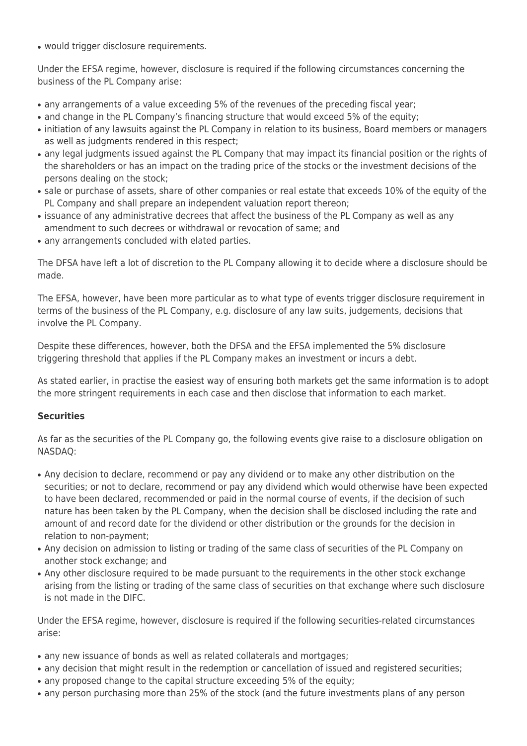• would trigger disclosure requirements.

Under the EFSA regime, however, disclosure is required if the following circumstances concerning the business of the PL Company arise:

- any arrangements of a value exceeding 5% of the revenues of the preceding fiscal year;
- and change in the PL Company's financing structure that would exceed 5% of the equity;
- initiation of any lawsuits against the PL Company in relation to its business, Board members or managers as well as judgments rendered in this respect;
- any legal judgments issued against the PL Company that may impact its financial position or the rights of the shareholders or has an impact on the trading price of the stocks or the investment decisions of the persons dealing on the stock;
- sale or purchase of assets, share of other companies or real estate that exceeds 10% of the equity of the PL Company and shall prepare an independent valuation report thereon;
- issuance of any administrative decrees that affect the business of the PL Company as well as any amendment to such decrees or withdrawal or revocation of same; and
- any arrangements concluded with elated parties.

The DFSA have left a lot of discretion to the PL Company allowing it to decide where a disclosure should be made.

The EFSA, however, have been more particular as to what type of events trigger disclosure requirement in terms of the business of the PL Company, e.g. disclosure of any law suits, judgements, decisions that involve the PL Company.

Despite these differences, however, both the DFSA and the EFSA implemented the 5% disclosure triggering threshold that applies if the PL Company makes an investment or incurs a debt.

As stated earlier, in practise the easiest way of ensuring both markets get the same information is to adopt the more stringent requirements in each case and then disclose that information to each market.

## **Securities**

As far as the securities of the PL Company go, the following events give raise to a disclosure obligation on NASDAQ:

- Any decision to declare, recommend or pay any dividend or to make any other distribution on the securities; or not to declare, recommend or pay any dividend which would otherwise have been expected to have been declared, recommended or paid in the normal course of events, if the decision of such nature has been taken by the PL Company, when the decision shall be disclosed including the rate and amount of and record date for the dividend or other distribution or the grounds for the decision in relation to non-payment;
- Any decision on admission to listing or trading of the same class of securities of the PL Company on another stock exchange; and
- Any other disclosure required to be made pursuant to the requirements in the other stock exchange arising from the listing or trading of the same class of securities on that exchange where such disclosure is not made in the DIFC.

Under the EFSA regime, however, disclosure is required if the following securities-related circumstances arise:

- any new issuance of bonds as well as related collaterals and mortgages;
- any decision that might result in the redemption or cancellation of issued and registered securities;
- any proposed change to the capital structure exceeding 5% of the equity;
- any person purchasing more than 25% of the stock (and the future investments plans of any person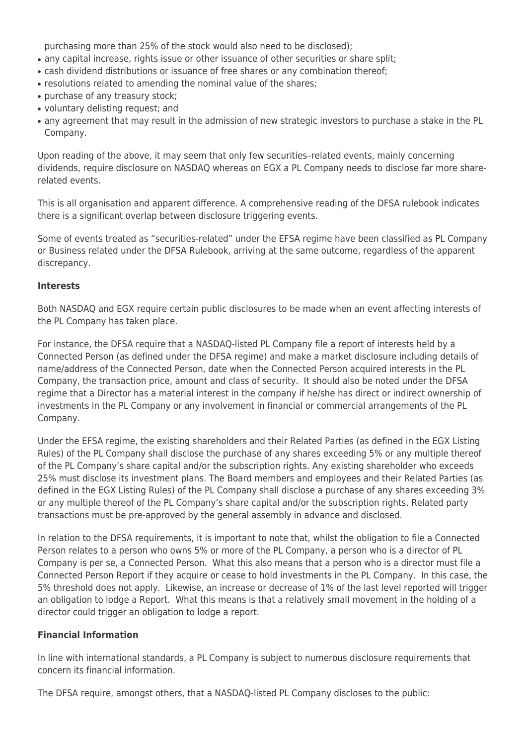purchasing more than 25% of the stock would also need to be disclosed);

- any capital increase, rights issue or other issuance of other securities or share split;
- cash dividend distributions or issuance of free shares or any combination thereof;
- resolutions related to amending the nominal value of the shares;
- purchase of any treasury stock;
- voluntary delisting request; and
- any agreement that may result in the admission of new strategic investors to purchase a stake in the PL Company.

Upon reading of the above, it may seem that only few securities–related events, mainly concerning dividends, require disclosure on NASDAQ whereas on EGX a PL Company needs to disclose far more sharerelated events.

This is all organisation and apparent difference. A comprehensive reading of the DFSA rulebook indicates there is a significant overlap between disclosure triggering events.

Some of events treated as "securities-related" under the EFSA regime have been classified as PL Company or Business related under the DFSA Rulebook, arriving at the same outcome, regardless of the apparent discrepancy.

#### **Interests**

Both NASDAQ and EGX require certain public disclosures to be made when an event affecting interests of the PL Company has taken place.

For instance, the DFSA require that a NASDAQ-listed PL Company file a report of interests held by a Connected Person (as defined under the DFSA regime) and make a market disclosure including details of name/address of the Connected Person, date when the Connected Person acquired interests in the PL Company, the transaction price, amount and class of security. It should also be noted under the DFSA regime that a Director has a material interest in the company if he/she has direct or indirect ownership of investments in the PL Company or any involvement in financial or commercial arrangements of the PL Company.

Under the EFSA regime, the existing shareholders and their Related Parties (as defined in the EGX Listing Rules) of the PL Company shall disclose the purchase of any shares exceeding 5% or any multiple thereof of the PL Company's share capital and/or the subscription rights. Any existing shareholder who exceeds 25% must disclose its investment plans. The Board members and employees and their Related Parties (as defined in the EGX Listing Rules) of the PL Company shall disclose a purchase of any shares exceeding 3% or any multiple thereof of the PL Company's share capital and/or the subscription rights. Related party transactions must be pre-approved by the general assembly in advance and disclosed.

In relation to the DFSA requirements, it is important to note that, whilst the obligation to file a Connected Person relates to a person who owns 5% or more of the PL Company, a person who is a director of PL Company is per se, a Connected Person. What this also means that a person who is a director must file a Connected Person Report if they acquire or cease to hold investments in the PL Company. In this case, the 5% threshold does not apply. Likewise, an increase or decrease of 1% of the last level reported will trigger an obligation to lodge a Report. What this means is that a relatively small movement in the holding of a director could trigger an obligation to lodge a report.

#### **Financial Information**

In line with international standards, a PL Company is subject to numerous disclosure requirements that concern its financial information.

The DFSA require, amongst others, that a NASDAQ-listed PL Company discloses to the public: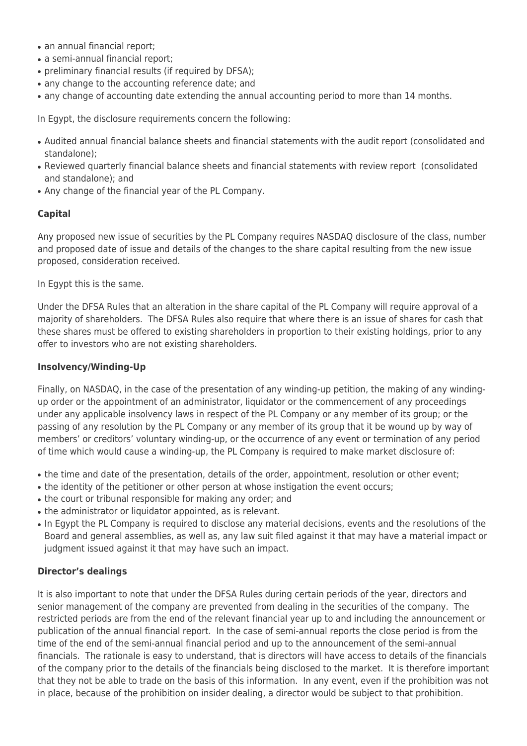- an annual financial report;
- a semi-annual financial report;
- preliminary financial results (if required by DFSA);
- any change to the accounting reference date; and
- any change of accounting date extending the annual accounting period to more than 14 months.

In Egypt, the disclosure requirements concern the following:

- Audited annual financial balance sheets and financial statements with the audit report (consolidated and standalone);
- Reviewed quarterly financial balance sheets and financial statements with review report (consolidated and standalone); and
- Any change of the financial year of the PL Company.

### **Capital**

Any proposed new issue of securities by the PL Company requires NASDAQ disclosure of the class, number and proposed date of issue and details of the changes to the share capital resulting from the new issue proposed, consideration received.

In Egypt this is the same.

Under the DFSA Rules that an alteration in the share capital of the PL Company will require approval of a majority of shareholders. The DFSA Rules also require that where there is an issue of shares for cash that these shares must be offered to existing shareholders in proportion to their existing holdings, prior to any offer to investors who are not existing shareholders.

#### **Insolvency/Winding-Up**

Finally, on NASDAQ, in the case of the presentation of any winding-up petition, the making of any windingup order or the appointment of an administrator, liquidator or the commencement of any proceedings under any applicable insolvency laws in respect of the PL Company or any member of its group; or the passing of any resolution by the PL Company or any member of its group that it be wound up by way of members' or creditors' voluntary winding-up, or the occurrence of any event or termination of any period of time which would cause a winding-up, the PL Company is required to make market disclosure of:

- the time and date of the presentation, details of the order, appointment, resolution or other event;
- the identity of the petitioner or other person at whose instigation the event occurs;
- the court or tribunal responsible for making any order; and
- the administrator or liquidator appointed, as is relevant.
- In Egypt the PL Company is required to disclose any material decisions, events and the resolutions of the Board and general assemblies, as well as, any law suit filed against it that may have a material impact or judgment issued against it that may have such an impact.

#### **Director's dealings**

It is also important to note that under the DFSA Rules during certain periods of the year, directors and senior management of the company are prevented from dealing in the securities of the company. The restricted periods are from the end of the relevant financial year up to and including the announcement or publication of the annual financial report. In the case of semi-annual reports the close period is from the time of the end of the semi-annual financial period and up to the announcement of the semi-annual financials. The rationale is easy to understand, that is directors will have access to details of the financials of the company prior to the details of the financials being disclosed to the market. It is therefore important that they not be able to trade on the basis of this information. In any event, even if the prohibition was not in place, because of the prohibition on insider dealing, a director would be subject to that prohibition.